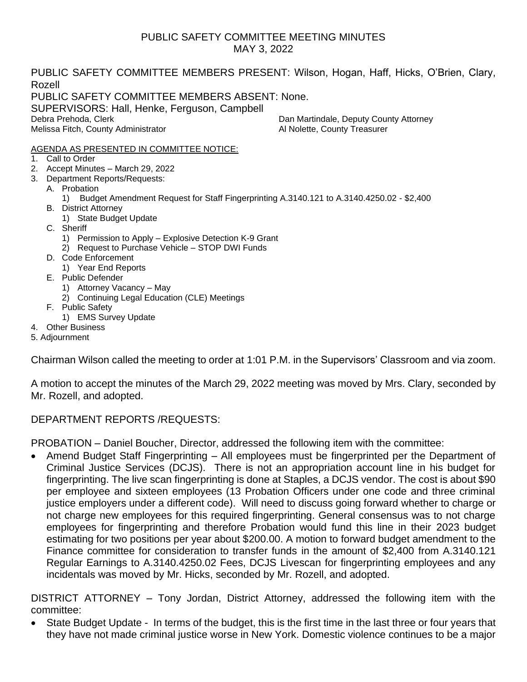#### PUBLIC SAFETY COMMITTEE MEETING MINUTES MAY 3, 2022

PUBLIC SAFETY COMMITTEE MEMBERS PRESENT: Wilson, Hogan, Haff, Hicks, O'Brien, Clary, Rozell PUBLIC SAFETY COMMITTEE MEMBERS ABSENT: None. SUPERVISORS: Hall, Henke, Ferguson, Campbell Debra Prehoda, Clerk Dan Martindale, Deputy County Attorney Melissa Fitch, County Administrator Melissa Fitch, County Administrator Al Nolette, County Treasurer

#### AGENDA AS PRESENTED IN COMMITTEE NOTICE:

- 1. Call to Order
- 2. Accept Minutes March 29, 2022
- 3. Department Reports/Requests:
	- A. Probation
		- 1) Budget Amendment Request for Staff Fingerprinting A.3140.121 to A.3140.4250.02 \$2,400
	- B. District Attorney
		- 1) State Budget Update
	- C. Sheriff
		- 1) Permission to Apply Explosive Detection K-9 Grant
		- 2) Request to Purchase Vehicle STOP DWI Funds
	- D. Code Enforcement
	- 1) Year End Reports
	- E. Public Defender
		- 1) Attorney Vacancy May
		- 2) Continuing Legal Education (CLE) Meetings
	- F. Public Safety
		- 1) EMS Survey Update
- 4. Other Business
- 5. Adjournment

Chairman Wilson called the meeting to order at 1:01 P.M. in the Supervisors' Classroom and via zoom.

A motion to accept the minutes of the March 29, 2022 meeting was moved by Mrs. Clary, seconded by Mr. Rozell, and adopted.

#### DEPARTMENT REPORTS /REQUESTS:

PROBATION – Daniel Boucher, Director, addressed the following item with the committee:

• Amend Budget Staff Fingerprinting – All employees must be fingerprinted per the Department of Criminal Justice Services (DCJS). There is not an appropriation account line in his budget for fingerprinting. The live scan fingerprinting is done at Staples, a DCJS vendor. The cost is about \$90 per employee and sixteen employees (13 Probation Officers under one code and three criminal justice employers under a different code). Will need to discuss going forward whether to charge or not charge new employees for this required fingerprinting. General consensus was to not charge employees for fingerprinting and therefore Probation would fund this line in their 2023 budget estimating for two positions per year about \$200.00. A motion to forward budget amendment to the Finance committee for consideration to transfer funds in the amount of \$2,400 from A.3140.121 Regular Earnings to A.3140.4250.02 Fees, DCJS Livescan for fingerprinting employees and any incidentals was moved by Mr. Hicks, seconded by Mr. Rozell, and adopted.

DISTRICT ATTORNEY – Tony Jordan, District Attorney, addressed the following item with the committee:

• State Budget Update - In terms of the budget, this is the first time in the last three or four years that they have not made criminal justice worse in New York. Domestic violence continues to be a major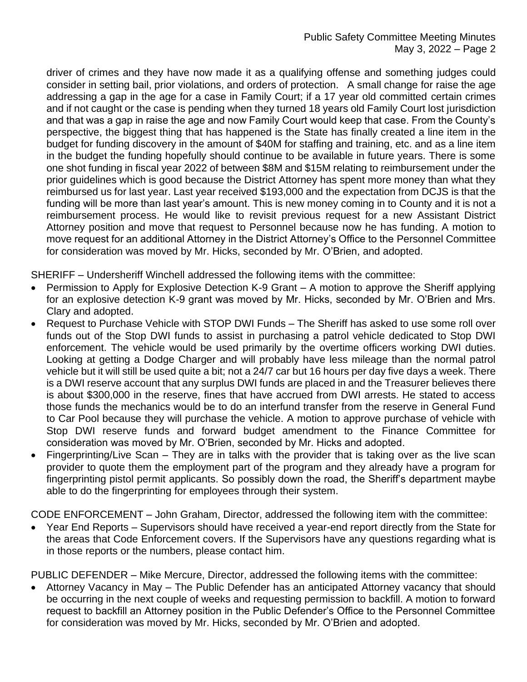driver of crimes and they have now made it as a qualifying offense and something judges could consider in setting bail, prior violations, and orders of protection. A small change for raise the age addressing a gap in the age for a case in Family Court; if a 17 year old committed certain crimes and if not caught or the case is pending when they turned 18 years old Family Court lost jurisdiction and that was a gap in raise the age and now Family Court would keep that case. From the County's perspective, the biggest thing that has happened is the State has finally created a line item in the budget for funding discovery in the amount of \$40M for staffing and training, etc. and as a line item in the budget the funding hopefully should continue to be available in future years. There is some one shot funding in fiscal year 2022 of between \$8M and \$15M relating to reimbursement under the prior guidelines which is good because the District Attorney has spent more money than what they reimbursed us for last year. Last year received \$193,000 and the expectation from DCJS is that the funding will be more than last year's amount. This is new money coming in to County and it is not a reimbursement process. He would like to revisit previous request for a new Assistant District Attorney position and move that request to Personnel because now he has funding. A motion to move request for an additional Attorney in the District Attorney's Office to the Personnel Committee for consideration was moved by Mr. Hicks, seconded by Mr. O'Brien, and adopted.

SHERIFF – Undersheriff Winchell addressed the following items with the committee:

- Permission to Apply for Explosive Detection K-9 Grant A motion to approve the Sheriff applying for an explosive detection K-9 grant was moved by Mr. Hicks, seconded by Mr. O'Brien and Mrs. Clary and adopted.
- Request to Purchase Vehicle with STOP DWI Funds The Sheriff has asked to use some roll over funds out of the Stop DWI funds to assist in purchasing a patrol vehicle dedicated to Stop DWI enforcement. The vehicle would be used primarily by the overtime officers working DWI duties. Looking at getting a Dodge Charger and will probably have less mileage than the normal patrol vehicle but it will still be used quite a bit; not a 24/7 car but 16 hours per day five days a week. There is a DWI reserve account that any surplus DWI funds are placed in and the Treasurer believes there is about \$300,000 in the reserve, fines that have accrued from DWI arrests. He stated to access those funds the mechanics would be to do an interfund transfer from the reserve in General Fund to Car Pool because they will purchase the vehicle. A motion to approve purchase of vehicle with Stop DWI reserve funds and forward budget amendment to the Finance Committee for consideration was moved by Mr. O'Brien, seconded by Mr. Hicks and adopted.
- Fingerprinting/Live Scan They are in talks with the provider that is taking over as the live scan provider to quote them the employment part of the program and they already have a program for fingerprinting pistol permit applicants. So possibly down the road, the Sheriff's department maybe able to do the fingerprinting for employees through their system.

CODE ENFORCEMENT – John Graham, Director, addressed the following item with the committee:

• Year End Reports – Supervisors should have received a year-end report directly from the State for the areas that Code Enforcement covers. If the Supervisors have any questions regarding what is in those reports or the numbers, please contact him.

PUBLIC DEFENDER – Mike Mercure, Director, addressed the following items with the committee:

• Attorney Vacancy in May – The Public Defender has an anticipated Attorney vacancy that should be occurring in the next couple of weeks and requesting permission to backfill. A motion to forward request to backfill an Attorney position in the Public Defender's Office to the Personnel Committee for consideration was moved by Mr. Hicks, seconded by Mr. O'Brien and adopted.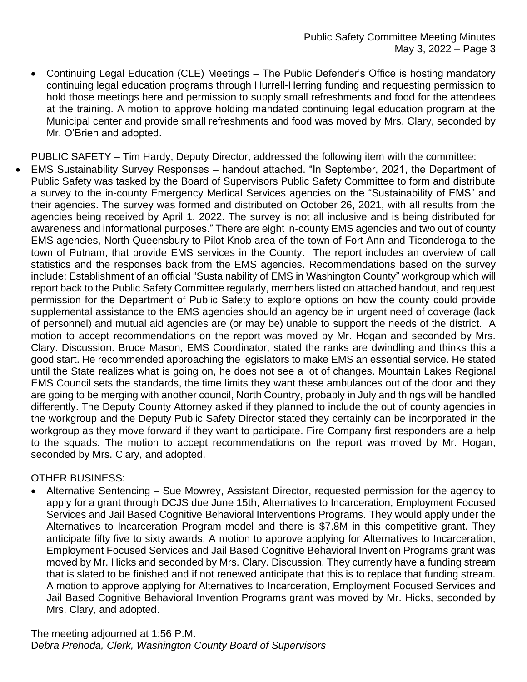• Continuing Legal Education (CLE) Meetings – The Public Defender's Office is hosting mandatory continuing legal education programs through Hurrell-Herring funding and requesting permission to hold those meetings here and permission to supply small refreshments and food for the attendees at the training. A motion to approve holding mandated continuing legal education program at the Municipal center and provide small refreshments and food was moved by Mrs. Clary, seconded by Mr. O'Brien and adopted.

PUBLIC SAFETY – Tim Hardy, Deputy Director, addressed the following item with the committee:

• EMS Sustainability Survey Responses – handout attached. "In September, 2021, the Department of Public Safety was tasked by the Board of Supervisors Public Safety Committee to form and distribute a survey to the in-county Emergency Medical Services agencies on the "Sustainability of EMS" and their agencies. The survey was formed and distributed on October 26, 2021, with all results from the agencies being received by April 1, 2022. The survey is not all inclusive and is being distributed for awareness and informational purposes." There are eight in-county EMS agencies and two out of county EMS agencies, North Queensbury to Pilot Knob area of the town of Fort Ann and Ticonderoga to the town of Putnam, that provide EMS services in the County. The report includes an overview of call statistics and the responses back from the EMS agencies. Recommendations based on the survey include: Establishment of an official "Sustainability of EMS in Washington County" workgroup which will report back to the Public Safety Committee regularly, members listed on attached handout, and request permission for the Department of Public Safety to explore options on how the county could provide supplemental assistance to the EMS agencies should an agency be in urgent need of coverage (lack of personnel) and mutual aid agencies are (or may be) unable to support the needs of the district. A motion to accept recommendations on the report was moved by Mr. Hogan and seconded by Mrs. Clary. Discussion. Bruce Mason, EMS Coordinator, stated the ranks are dwindling and thinks this a good start. He recommended approaching the legislators to make EMS an essential service. He stated until the State realizes what is going on, he does not see a lot of changes. Mountain Lakes Regional EMS Council sets the standards, the time limits they want these ambulances out of the door and they are going to be merging with another council, North Country, probably in July and things will be handled differently. The Deputy County Attorney asked if they planned to include the out of county agencies in the workgroup and the Deputy Public Safety Director stated they certainly can be incorporated in the workgroup as they move forward if they want to participate. Fire Company first responders are a help to the squads. The motion to accept recommendations on the report was moved by Mr. Hogan, seconded by Mrs. Clary, and adopted.

#### OTHER BUSINESS:

• Alternative Sentencing – Sue Mowrey, Assistant Director, requested permission for the agency to apply for a grant through DCJS due June 15th, Alternatives to Incarceration, Employment Focused Services and Jail Based Cognitive Behavioral Interventions Programs. They would apply under the Alternatives to Incarceration Program model and there is \$7.8M in this competitive grant. They anticipate fifty five to sixty awards. A motion to approve applying for Alternatives to Incarceration, Employment Focused Services and Jail Based Cognitive Behavioral Invention Programs grant was moved by Mr. Hicks and seconded by Mrs. Clary. Discussion. They currently have a funding stream that is slated to be finished and if not renewed anticipate that this is to replace that funding stream. A motion to approve applying for Alternatives to Incarceration, Employment Focused Services and Jail Based Cognitive Behavioral Invention Programs grant was moved by Mr. Hicks, seconded by Mrs. Clary, and adopted.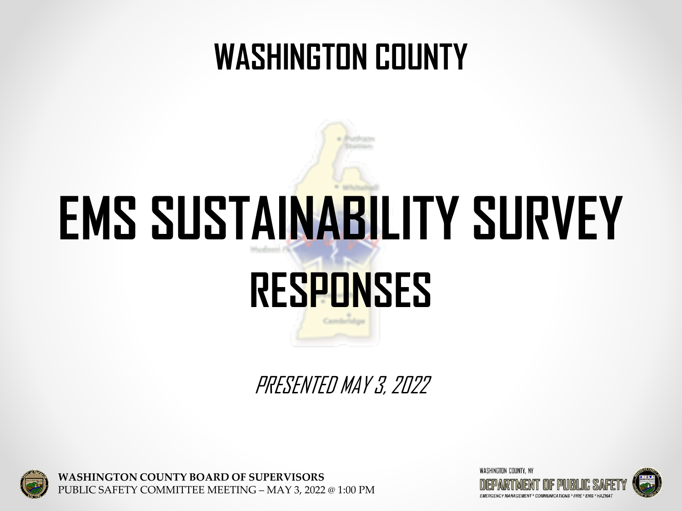## **WASHINGTON COUNTY**

# **EMS SUSTAINABILITY SURVEY**

## **RESPONSES**

PRESENTED MAY 3, 2022



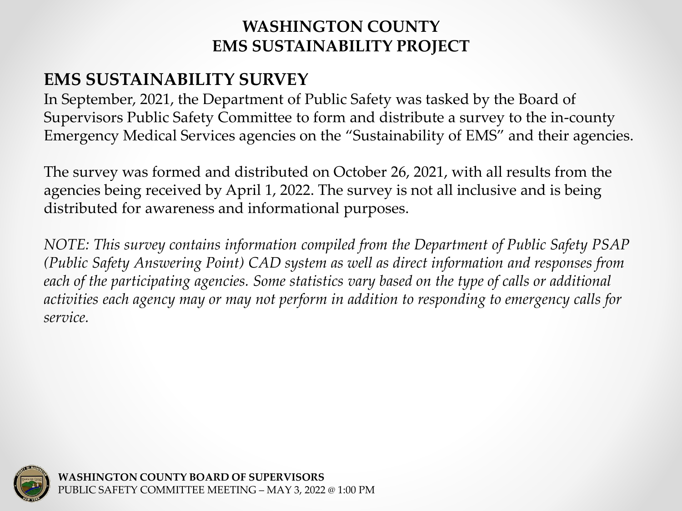## **EMS SUSTAINABILITY SURVEY**

In September, 2021, the Department of Public Safety was tasked by the Board of Supervisors Public Safety Committee to form and distribute a survey to the in-county Emergency Medical Services agencies on the "Sustainability of EMS" and their agencies.

The survey was formed and distributed on October 26, 2021, with all results from the agencies being received by April 1, 2022. The survey is not all inclusive and is being distributed for awareness and informational purposes.

*NOTE: This survey contains information compiled from the Department of Public Safety PSAP (Public Safety Answering Point) CAD system as well as direct information and responses from each of the participating agencies. Some statistics vary based on the type of calls or additional activities each agency may or may not perform in addition to responding to emergency calls for service.*

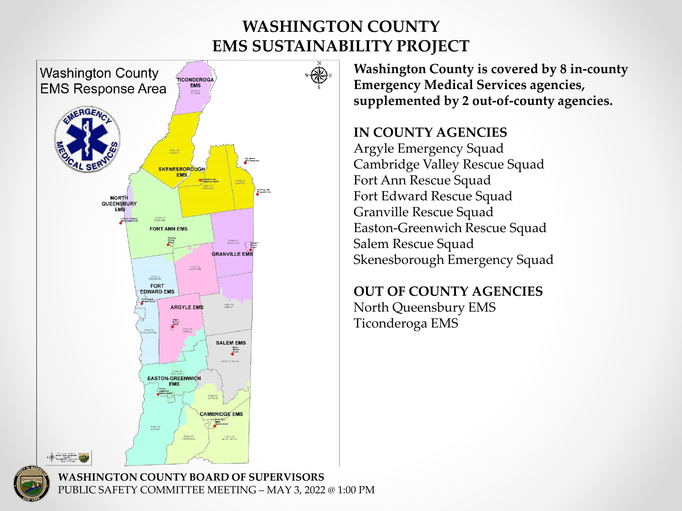

**Washington County is covered by 8 in-county Emergency Medical Services agencies, supplemented by 2 out-of-county agencies.**

### **IN COUNTY AGENCIES**

Argyle Emergency Squad Cambridge Valley Rescue Squad Fort Ann Rescue Squad Fort Edward Rescue Squad Granville Rescue Squad Easton-Greenwich Rescue Squad Salem Rescue Squad Skenesborough Emergency Squad

### **OUT OF COUNTY AGENCIES** North Queensbury EMS Ticonderoga EMS

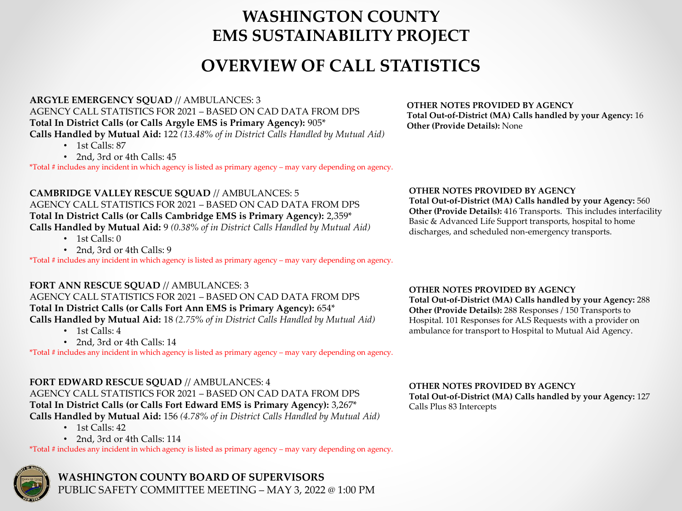## **OVERVIEW OF CALL STATISTICS**

#### **ARGYLE EMERGENCY SQUAD** // AMBULANCES: 3 AGENCY CALL STATISTICS FOR 2021 – BASED ON CAD DATA FROM DPS **Total In District Calls (or Calls Argyle EMS is Primary Agency):** 905\* **Calls Handled by Mutual Aid:** 122 *(13.48% of in District Calls Handled by Mutual Aid)*

- 1st Calls: 87
- 2nd, 3rd or 4th Calls: 45

\*Total # includes any incident in which agency is listed as primary agency – may vary depending on agency.

**CAMBRIDGE VALLEY RESCUE SQUAD** // AMBULANCES: 5 AGENCY CALL STATISTICS FOR 2021 – BASED ON CAD DATA FROM DPS **Total In District Calls (or Calls Cambridge EMS is Primary Agency):** 2,359\* **Calls Handled by Mutual Aid:** 9 *(0.38% of in District Calls Handled by Mutual Aid)*

- 1st Calls: 0
- 2nd, 3rd or 4th Calls: 9

\*Total # includes any incident in which agency is listed as primary agency – may vary depending on agency.

#### **FORT ANN RESCUE SQUAD** // AMBULANCES: 3

#### AGENCY CALL STATISTICS FOR 2021 – BASED ON CAD DATA FROM DPS

#### **Total In District Calls (or Calls Fort Ann EMS is Primary Agency):** 654\*

**Calls Handled by Mutual Aid:** 18 *(2.75% of in District Calls Handled by Mutual Aid)*

- 1st Calls: 4
- 2nd, 3rd or 4th Calls: 14

\*Total # includes any incident in which agency is listed as primary agency – may vary depending on agency.

#### **FORT EDWARD RESCUE SQUAD** // AMBULANCES: 4

AGENCY CALL STATISTICS FOR 2021 – BASED ON CAD DATA FROM DPS **Total In District Calls (or Calls Fort Edward EMS is Primary Agency):** 3,267\* **Calls Handled by Mutual Aid:** 156 *(4.78% of in District Calls Handled by Mutual Aid)*

- $\cdot$  1st Calls: 42
- 2nd, 3rd or 4th Calls: 114

\*Total # includes any incident in which agency is listed as primary agency – may vary depending on agency.



**WASHINGTON COUNTY BOARD OF SUPERVISORS** PUBLIC SAFETY COMMITTEE MEETING – MAY 3, 2022 @ 1:00 PM

#### **OTHER NOTES PROVIDED BY AGENCY Total Out-of-District (MA) Calls handled by your Agency:** 16 **Other (Provide Details):** None

#### **OTHER NOTES PROVIDED BY AGENCY**

**Total Out-of-District (MA) Calls handled by your Agency:** 560 **Other (Provide Details):** 416 Transports. This includes interfacility Basic & Advanced Life Support transports, hospital to home discharges, and scheduled non-emergency transports.

#### **OTHER NOTES PROVIDED BY AGENCY**

**Total Out-of-District (MA) Calls handled by your Agency:** 288 **Other (Provide Details):** 288 Responses / 150 Transports to Hospital. 101 Responses for ALS Requests with a provider on ambulance for transport to Hospital to Mutual Aid Agency.

**OTHER NOTES PROVIDED BY AGENCY Total Out-of-District (MA) Calls handled by your Agency:** 127 Calls Plus 83 Intercepts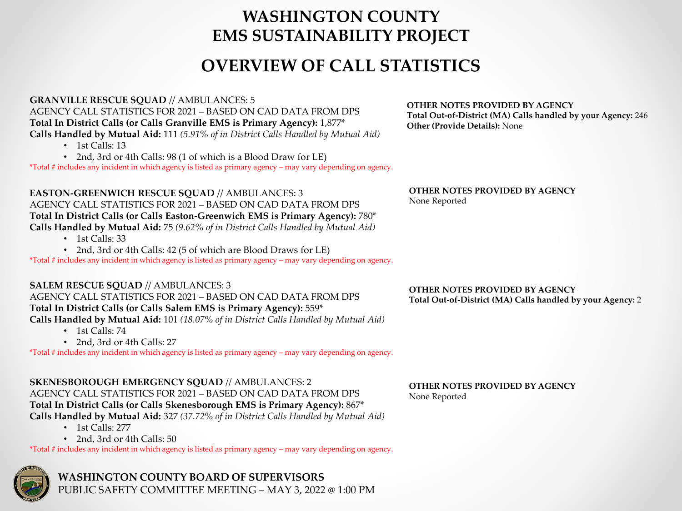## **OVERVIEW OF CALL STATISTICS**

#### **GRANVILLE RESCUE SQUAD** // AMBULANCES: 5

AGENCY CALL STATISTICS FOR 2021 – BASED ON CAD DATA FROM DPS

**Total In District Calls (or Calls Granville EMS is Primary Agency):** 1,877\*

**Calls Handled by Mutual Aid:** 111 *(5.91% of in District Calls Handled by Mutual Aid)*

- $\cdot$  1st Calls: 13
- 2nd, 3rd or 4th Calls: 98 (1 of which is a Blood Draw for LE)

\*Total # includes any incident in which agency is listed as primary agency – may vary depending on agency.

#### **EASTON-GREENWICH RESCUE SQUAD** // AMBULANCES: 3 AGENCY CALL STATISTICS FOR 2021 – BASED ON CAD DATA FROM DPS **Total In District Calls (or Calls Easton-Greenwich EMS is Primary Agency):** 780\* **Calls Handled by Mutual Aid:** 75 *(9.62% of in District Calls Handled by Mutual Aid)*

- 1st Calls: 33
- 2nd, 3rd or 4th Calls: 42 (5 of which are Blood Draws for LE)

\*Total # includes any incident in which agency is listed as primary agency – may vary depending on agency.

#### **SALEM RESCUE SQUAD** // AMBULANCES: 3

#### AGENCY CALL STATISTICS FOR 2021 – BASED ON CAD DATA FROM DPS

**Total In District Calls (or Calls Salem EMS is Primary Agency):** 559\*

**Calls Handled by Mutual Aid:** 101 *(18.07% of in District Calls Handled by Mutual Aid)*

- $\cdot$  1st Calls: 74
- 2nd, 3rd or 4th Calls: 27

\*Total # includes any incident in which agency is listed as primary agency – may vary depending on agency.

#### **SKENESBOROUGH EMERGENCY SQUAD** // AMBULANCES: 2 AGENCY CALL STATISTICS FOR 2021 – BASED ON CAD DATA FROM DPS **Total In District Calls (or Calls Skenesborough EMS is Primary Agency):** 867\* **Calls Handled by Mutual Aid:** 327 *(37.72% of in District Calls Handled by Mutual Aid)*

- 1st Calls: 277
- 2nd, 3rd or 4th Calls: 50

\*Total # includes any incident in which agency is listed as primary agency – may vary depending on agency.



**WASHINGTON COUNTY BOARD OF SUPERVISORS** PUBLIC SAFETY COMMITTEE MEETING – MAY 3, 2022 @ 1:00 PM

#### **OTHER NOTES PROVIDED BY AGENCY Total Out-of-District (MA) Calls handled by your Agency:** 246 **Other (Provide Details):** None

#### **OTHER NOTES PROVIDED BY AGENCY** None Reported

#### **OTHER NOTES PROVIDED BY AGENCY Total Out-of-District (MA) Calls handled by your Agency:** 2

#### **OTHER NOTES PROVIDED BY AGENCY** None Reported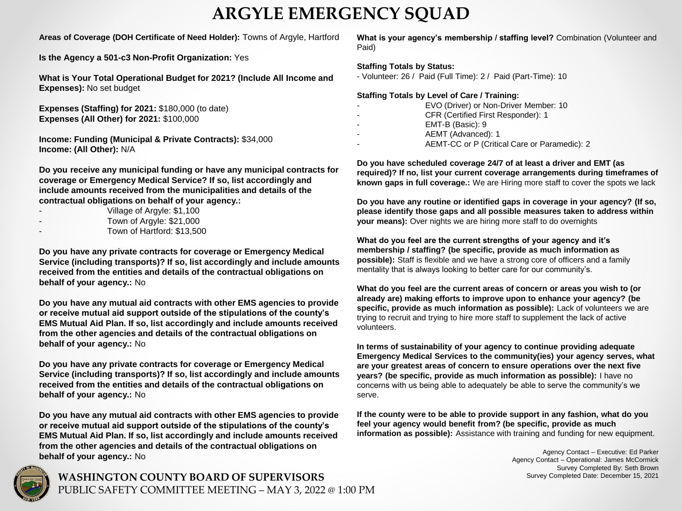## **ARGYLE EMERGENCY SQUAD**

#### **Areas of Coverage (DOH Certificate of Need Holder):** Towns of Argyle, Hartford

**Is the Agency a 501-c3 Non-Profit Organization:** Yes

**What is Your Total Operational Budget for 2021? (Include All Income and Expenses):** No set budget

**Expenses (Staffing) for 2021:** \$180,000 (to date) **Expenses (All Other) for 2021:** \$100,000

**Income: Funding (Municipal & Private Contracts):** \$34,000 **Income: (All Other):** N/A

**Do you receive any municipal funding or have any municipal contracts for coverage or Emergency Medical Service? If so, list accordingly and include amounts received from the municipalities and details of the contractual obligations on behalf of your agency.:**

- Village of Argyle: \$1,100
- Town of Argyle: \$21,000
- Town of Hartford: \$13,500

**Do you have any private contracts for coverage or Emergency Medical Service (including transports)? If so, list accordingly and include amounts received from the entities and details of the contractual obligations on behalf of your agency.:** No

**Do you have any mutual aid contracts with other EMS agencies to provide or receive mutual aid support outside of the stipulations of the county's EMS Mutual Aid Plan. If so, list accordingly and include amounts received from the other agencies and details of the contractual obligations on behalf of your agency.:** No

**Do you have any private contracts for coverage or Emergency Medical Service (including transports)? If so, list accordingly and include amounts received from the entities and details of the contractual obligations on behalf of your agency.:** No

**Do you have any mutual aid contracts with other EMS agencies to provide or receive mutual aid support outside of the stipulations of the county's EMS Mutual Aid Plan. If so, list accordingly and include amounts received from the other agencies and details of the contractual obligations on behalf of your agency.:** No



#### **Staffing Totals by Status:**

- Volunteer: 26 / Paid (Full Time): 2 / Paid (Part-Time): 10

#### **Staffing Totals by Level of Care / Training:**

- EVO (Driver) or Non-Driver Member: 10
- CFR (Certified First Responder): 1
- EMT-B (Basic): 9
- AEMT (Advanced): 1
- AEMT-CC or P (Critical Care or Paramedic): 2

**Do you have scheduled coverage 24/7 of at least a driver and EMT (as required)? If no, list your current coverage arrangements during timeframes of known gaps in full coverage.:** We are Hiring more staff to cover the spots we lack

**Do you have any routine or identified gaps in coverage in your agency? (If so, please identify those gaps and all possible measures taken to address within your means):** Over nights we are hiring more staff to do overnights

**What do you feel are the current strengths of your agency and it's membership / staffing? (be specific, provide as much information as possible):** Staff is flexible and we have a strong core of officers and a family mentality that is always looking to better care for our community's.

**What do you feel are the current areas of concern or areas you wish to (or already are) making efforts to improve upon to enhance your agency? (be specific, provide as much information as possible):** Lack of volunteers we are trying to recruit and trying to hire more staff to supplement the lack of active volunteers.

**In terms of sustainability of your agency to continue providing adequate Emergency Medical Services to the community(ies) your agency serves, what are your greatest areas of concern to ensure operations over the next five years? (be specific, provide as much information as possible):** I have no concerns with us being able to adequately be able to serve the community's we serve.

**If the county were to be able to provide support in any fashion, what do you feel your agency would benefit from? (be specific, provide as much information as possible):** Assistance with training and funding for new equipment.

> Agency Contact – Executive: Ed Parker Agency Contact – Operational: James McCormick Survey Completed By: Seth Brown Survey Completed Date: December 15, 2021

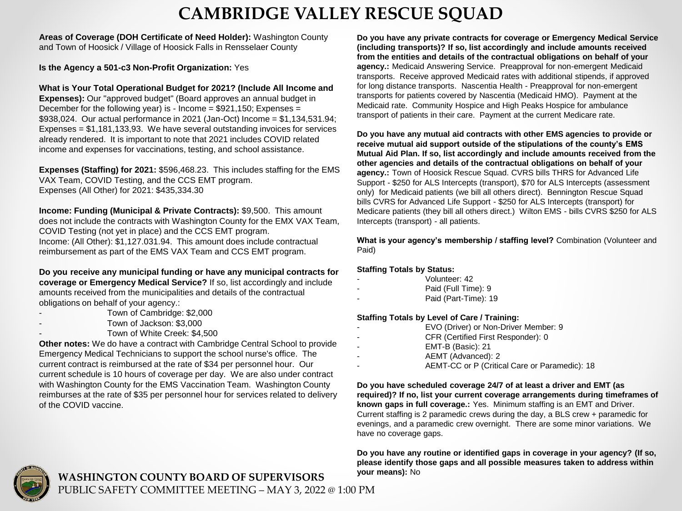## **CAMBRIDGE VALLEY RESCUE SQUAD**

**Areas of Coverage (DOH Certificate of Need Holder):** Washington County and Town of Hoosick / Village of Hoosick Falls in Rensselaer County

**Is the Agency a 501-c3 Non-Profit Organization:** Yes

**What is Your Total Operational Budget for 2021? (Include All Income and Expenses):** Our "approved budget" (Board approves an annual budget in December for the following year) is - Income =  $$921,150$ ; Expenses = \$938,024. Our actual performance in 2021 (Jan-Oct) Income = \$1,134,531.94; Expenses = \$1,181,133,93. We have several outstanding invoices for services already rendered. It is important to note that 2021 includes COVID related income and expenses for vaccinations, testing, and school assistance.

**Expenses (Staffing) for 2021:** \$596,468.23. This includes staffing for the EMS VAX Team, COVID Testing, and the CCS EMT program. Expenses (All Other) for 2021: \$435,334.30

**Income: Funding (Municipal & Private Contracts):** \$9,500. This amount does not include the contracts with Washington County for the EMX VAX Team, COVID Testing (not yet in place) and the CCS EMT program. Income: (All Other): \$1,127.031.94. This amount does include contractual reimbursement as part of the EMS VAX Team and CCS EMT program.

**Do you receive any municipal funding or have any municipal contracts for coverage or Emergency Medical Service?** If so, list accordingly and include amounts received from the municipalities and details of the contractual obligations on behalf of your agency.:

- Town of Cambridge: \$2,000
- Town of Jackson: \$3,000
- Town of White Creek: \$4,500

**Other notes:** We do have a contract with Cambridge Central School to provide Emergency Medical Technicians to support the school nurse's office. The current contract is reimbursed at the rate of \$34 per personnel hour. Our current schedule is 10 hours of coverage per day. We are also under contract with Washington County for the EMS Vaccination Team. Washington County reimburses at the rate of \$35 per personnel hour for services related to delivery of the COVID vaccine.

**Do you have any private contracts for coverage or Emergency Medical Service (including transports)? If so, list accordingly and include amounts received from the entities and details of the contractual obligations on behalf of your agency.:** Medicaid Answering Service. Preapproval for non-emergent Medicaid transports. Receive approved Medicaid rates with additional stipends, if approved for long distance transports. Nascentia Health - Preapproval for non-emergent transports for patients covered by Nascentia (Medicaid HMO). Payment at the Medicaid rate. Community Hospice and High Peaks Hospice for ambulance transport of patients in their care. Payment at the current Medicare rate.

**Do you have any mutual aid contracts with other EMS agencies to provide or receive mutual aid support outside of the stipulations of the county's EMS Mutual Aid Plan. If so, list accordingly and include amounts received from the other agencies and details of the contractual obligations on behalf of your agency.:** Town of Hoosick Rescue Squad. CVRS bills THRS for Advanced Life Support - \$250 for ALS Intercepts (transport), \$70 for ALS Intercepts (assessment only) for Medicaid patients (we bill all others direct). Bennington Rescue Squad bills CVRS for Advanced Life Support - \$250 for ALS Intercepts (transport) for Medicare patients (they bill all others direct.) Wilton EMS - bills CVRS \$250 for ALS Intercepts (transport) - all patients.

**What is your agency's membership / staffing level?** Combination (Volunteer and Paid)

#### **Staffing Totals by Status:**

- Volunteer: 42
- Paid (Full Time): 9
- Paid (Part-Time): 19

#### **Staffing Totals by Level of Care / Training:**

- EVO (Driver) or Non-Driver Member: 9
- CFR (Certified First Responder): 0
- EMT-B (Basic): 21
- AEMT (Advanced): 2
- AEMT-CC or P (Critical Care or Paramedic): 18

**Do you have scheduled coverage 24/7 of at least a driver and EMT (as required)? If no, list your current coverage arrangements during timeframes of known gaps in full coverage.:** Yes. Minimum staffing is an EMT and Driver. Current staffing is 2 paramedic crews during the day, a BLS crew + paramedic for evenings, and a paramedic crew overnight. There are some minor variations. We have no coverage gaps.

**Do you have any routine or identified gaps in coverage in your agency? (If so, please identify those gaps and all possible measures taken to address within your means):** No

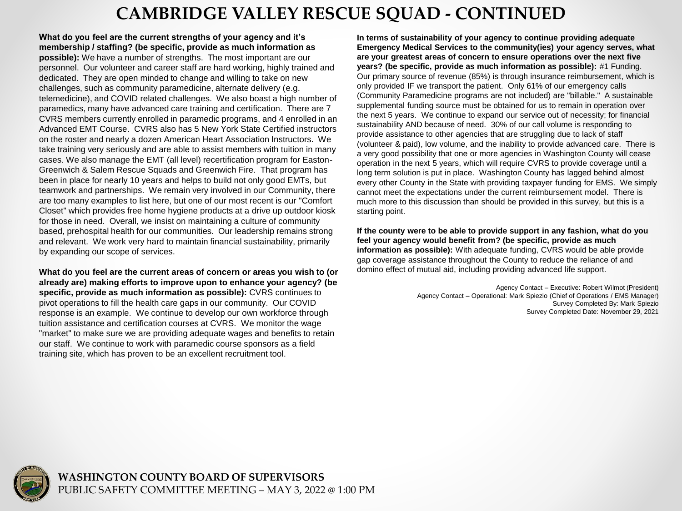## **CAMBRIDGE VALLEY RESCUE SQUAD - CONTINUED**

**What do you feel are the current strengths of your agency and it's membership / staffing? (be specific, provide as much information as possible):** We have a number of strengths. The most important are our personnel. Our volunteer and career staff are hard working, highly trained and dedicated. They are open minded to change and willing to take on new challenges, such as community paramedicine, alternate delivery (e.g. telemedicine), and COVID related challenges. We also boast a high number of paramedics, many have advanced care training and certification. There are 7 CVRS members currently enrolled in paramedic programs, and 4 enrolled in an Advanced EMT Course. CVRS also has 5 New York State Certified instructors on the roster and nearly a dozen American Heart Association Instructors. We take training very seriously and are able to assist members with tuition in many cases. We also manage the EMT (all level) recertification program for Easton-Greenwich & Salem Rescue Squads and Greenwich Fire. That program has been in place for nearly 10 years and helps to build not only good EMTs, but teamwork and partnerships. We remain very involved in our Community, there are too many examples to list here, but one of our most recent is our "Comfort Closet" which provides free home hygiene products at a drive up outdoor kiosk for those in need. Overall, we insist on maintaining a culture of community based, prehospital health for our communities. Our leadership remains strong and relevant. We work very hard to maintain financial sustainability, primarily by expanding our scope of services.

**What do you feel are the current areas of concern or areas you wish to (or already are) making efforts to improve upon to enhance your agency? (be specific, provide as much information as possible):** CVRS continues to pivot operations to fill the health care gaps in our community. Our COVID response is an example. We continue to develop our own workforce through tuition assistance and certification courses at CVRS. We monitor the wage "market" to make sure we are providing adequate wages and benefits to retain our staff. We continue to work with paramedic course sponsors as a field training site, which has proven to be an excellent recruitment tool.

**In terms of sustainability of your agency to continue providing adequate Emergency Medical Services to the community(ies) your agency serves, what are your greatest areas of concern to ensure operations over the next five years? (be specific, provide as much information as possible):** #1 Funding. Our primary source of revenue (85%) is through insurance reimbursement, which is only provided IF we transport the patient. Only 61% of our emergency calls (Community Paramedicine programs are not included) are "billable." A sustainable supplemental funding source must be obtained for us to remain in operation over the next 5 years. We continue to expand our service out of necessity; for financial sustainability AND because of need. 30% of our call volume is responding to provide assistance to other agencies that are struggling due to lack of staff (volunteer & paid), low volume, and the inability to provide advanced care. There is a very good possibility that one or more agencies in Washington County will cease operation in the next 5 years, which will require CVRS to provide coverage until a long term solution is put in place. Washington County has lagged behind almost every other County in the State with providing taxpayer funding for EMS. We simply cannot meet the expectations under the current reimbursement model. There is much more to this discussion than should be provided in this survey, but this is a starting point.

**If the county were to be able to provide support in any fashion, what do you feel your agency would benefit from? (be specific, provide as much information as possible):** With adequate funding, CVRS would be able provide gap coverage assistance throughout the County to reduce the reliance of and domino effect of mutual aid, including providing advanced life support.

> Agency Contact – Executive: Robert Wilmot (President) Agency Contact – Operational: Mark Spiezio (Chief of Operations / EMS Manager) Survey Completed By: Mark Spiezio Survey Completed Date: November 29, 2021

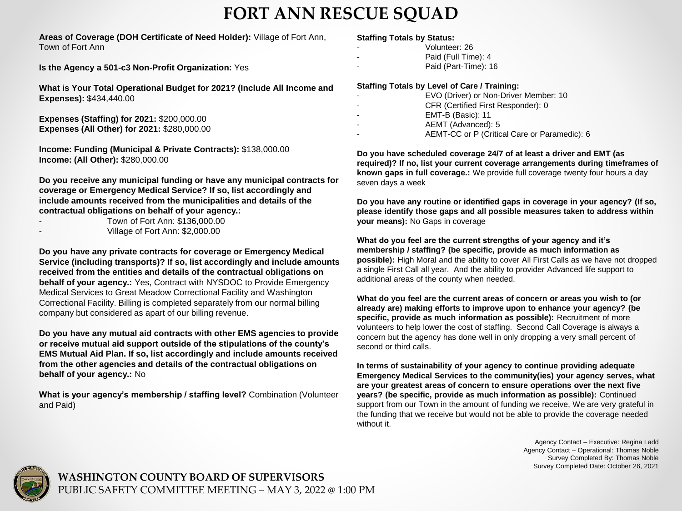## **FORT ANN RESCUE SQUAD**

**Areas of Coverage (DOH Certificate of Need Holder):** Village of Fort Ann, Town of Fort Ann

**Is the Agency a 501-c3 Non-Profit Organization:** Yes

**What is Your Total Operational Budget for 2021? (Include All Income and Expenses):** \$434,440.00

**Expenses (Staffing) for 2021:** \$200,000.00 **Expenses (All Other) for 2021:** \$280,000.00

**Income: Funding (Municipal & Private Contracts):** \$138,000.00 **Income: (All Other):** \$280,000.00

**Do you receive any municipal funding or have any municipal contracts for coverage or Emergency Medical Service? If so, list accordingly and include amounts received from the municipalities and details of the contractual obligations on behalf of your agency.:**

| Town of Fort Ann: \$136,000.00                                                                                                                                                                                                                                                                                                     |
|------------------------------------------------------------------------------------------------------------------------------------------------------------------------------------------------------------------------------------------------------------------------------------------------------------------------------------|
| $\mathbf{r}$ $\mathbf{r}$ $\mathbf{r}$ $\mathbf{r}$ $\mathbf{r}$ $\mathbf{r}$ $\mathbf{r}$ $\mathbf{r}$ $\mathbf{r}$ $\mathbf{r}$ $\mathbf{r}$ $\mathbf{r}$ $\mathbf{r}$ $\mathbf{r}$ $\mathbf{r}$ $\mathbf{r}$ $\mathbf{r}$ $\mathbf{r}$ $\mathbf{r}$ $\mathbf{r}$ $\mathbf{r}$ $\mathbf{r}$ $\mathbf{r}$ $\mathbf{r}$ $\mathbf{$ |

- Village of Fort Ann: \$2,000.00

**Do you have any private contracts for coverage or Emergency Medical Service (including transports)? If so, list accordingly and include amounts received from the entities and details of the contractual obligations on behalf of your agency.:** Yes, Contract with NYSDOC to Provide Emergency Medical Services to Great Meadow Correctional Facility and Washington Correctional Facility. Billing is completed separately from our normal billing company but considered as apart of our billing revenue.

**Do you have any mutual aid contracts with other EMS agencies to provide or receive mutual aid support outside of the stipulations of the county's EMS Mutual Aid Plan. If so, list accordingly and include amounts received from the other agencies and details of the contractual obligations on behalf of your agency.:** No

**What is your agency's membership / staffing level?** Combination (Volunteer and Paid)

#### **Staffing Totals by Status:**

- Volunteer: 26
- Paid (Full Time): 4
- Paid (Part-Time): 16

#### **Staffing Totals by Level of Care / Training:**

| EVO (Driver) or Non-Driver Member: 10 |
|---------------------------------------|
| CFR (Certified First Responder): 0    |

- EMT-B (Basic): 11
- AEMT (Advanced): 5
- AEMT-CC or P (Critical Care or Paramedic): 6

**Do you have scheduled coverage 24/7 of at least a driver and EMT (as required)? If no, list your current coverage arrangements during timeframes of known gaps in full coverage.:** We provide full coverage twenty four hours a day seven days a week

**Do you have any routine or identified gaps in coverage in your agency? (If so, please identify those gaps and all possible measures taken to address within your means):** No Gaps in coverage

**What do you feel are the current strengths of your agency and it's membership / staffing? (be specific, provide as much information as possible):** High Moral and the ability to cover All First Calls as we have not dropped a single First Call all year. And the ability to provider Advanced life support to additional areas of the county when needed.

**What do you feel are the current areas of concern or areas you wish to (or already are) making efforts to improve upon to enhance your agency? (be specific, provide as much information as possible):** Recruitment of more volunteers to help lower the cost of staffing. Second Call Coverage is always a concern but the agency has done well in only dropping a very small percent of second or third calls.

**In terms of sustainability of your agency to continue providing adequate Emergency Medical Services to the community(ies) your agency serves, what are your greatest areas of concern to ensure operations over the next five years? (be specific, provide as much information as possible):** Continued support from our Town in the amount of funding we receive, We are very grateful in the funding that we receive but would not be able to provide the coverage needed without it.

> Agency Contact – Executive: Regina Ladd Agency Contact – Operational: Thomas Noble Survey Completed By: Thomas Noble Survey Completed Date: October 26, 2021

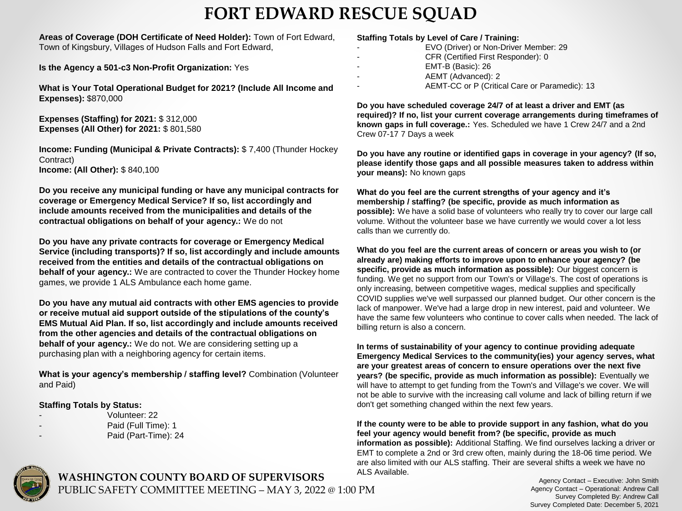## **FORT EDWARD RESCUE SQUAD**

**Areas of Coverage (DOH Certificate of Need Holder):** Town of Fort Edward, Town of Kingsbury, Villages of Hudson Falls and Fort Edward,

**Is the Agency a 501-c3 Non-Profit Organization:** Yes

**What is Your Total Operational Budget for 2021? (Include All Income and Expenses):** \$870,000

**Expenses (Staffing) for 2021:** \$ 312,000 **Expenses (All Other) for 2021:** \$ 801,580

**Income: Funding (Municipal & Private Contracts):** \$ 7,400 (Thunder Hockey Contract) **Income: (All Other):** \$ 840,100

**Do you receive any municipal funding or have any municipal contracts for coverage or Emergency Medical Service? If so, list accordingly and include amounts received from the municipalities and details of the contractual obligations on behalf of your agency.:** We do not

**Do you have any private contracts for coverage or Emergency Medical Service (including transports)? If so, list accordingly and include amounts received from the entities and details of the contractual obligations on behalf of your agency.:** We are contracted to cover the Thunder Hockey home games, we provide 1 ALS Ambulance each home game.

**Do you have any mutual aid contracts with other EMS agencies to provide or receive mutual aid support outside of the stipulations of the county's EMS Mutual Aid Plan. If so, list accordingly and include amounts received from the other agencies and details of the contractual obligations on behalf of your agency.:** We do not. We are considering setting up a purchasing plan with a neighboring agency for certain items.

**What is your agency's membership / staffing level?** Combination (Volunteer and Paid)

#### **Staffing Totals by Status:**

- Volunteer: 22
	- Paid (Full Time): 1
- Paid (Part-Time): 24

#### **Staffing Totals by Level of Care / Training:**

| EVO (Driver) or Non-Driver Member: 29         |
|-----------------------------------------------|
| CFR (Certified First Responder): 0            |
| EMT-B (Basic): 26                             |
| AEMT (Advanced): 2                            |
| AEMT-CC or P (Critical Care or Paramedic): 13 |

**Do you have scheduled coverage 24/7 of at least a driver and EMT (as required)? If no, list your current coverage arrangements during timeframes of known gaps in full coverage.:** Yes. Scheduled we have 1 Crew 24/7 and a 2nd Crew 07-17 7 Days a week

**Do you have any routine or identified gaps in coverage in your agency? (If so, please identify those gaps and all possible measures taken to address within your means):** No known gaps

**What do you feel are the current strengths of your agency and it's membership / staffing? (be specific, provide as much information as possible):** We have a solid base of volunteers who really try to cover our large call volume. Without the volunteer base we have currently we would cover a lot less calls than we currently do.

**What do you feel are the current areas of concern or areas you wish to (or already are) making efforts to improve upon to enhance your agency? (be specific, provide as much information as possible):** Our biggest concern is funding. We get no support from our Town's or Village's. The cost of operations is only increasing, between competitive wages, medical supplies and specifically COVID supplies we've well surpassed our planned budget. Our other concern is the lack of manpower. We've had a large drop in new interest, paid and volunteer. We have the same few volunteers who continue to cover calls when needed. The lack of billing return is also a concern.

**In terms of sustainability of your agency to continue providing adequate Emergency Medical Services to the community(ies) your agency serves, what are your greatest areas of concern to ensure operations over the next five years? (be specific, provide as much information as possible):** Eventually we will have to attempt to get funding from the Town's and Village's we cover. We will not be able to survive with the increasing call volume and lack of billing return if we don't get something changed within the next few years.

**If the county were to be able to provide support in any fashion, what do you feel your agency would benefit from? (be specific, provide as much information as possible):** Additional Staffing. We find ourselves lacking a driver or EMT to complete a 2nd or 3rd crew often, mainly during the 18-06 time period. We are also limited with our ALS staffing. Their are several shifts a week we have no ALS Available.



**WASHINGTON COUNTY BOARD OF SUPERVISORS** PUBLIC SAFETY COMMITTEE MEETING – MAY 3, 2022 @ 1:00 PM

Agency Contact – Executive: John Smith Agency Contact – Operational: Andrew Call Survey Completed By: Andrew Call Survey Completed Date: December 5, 2021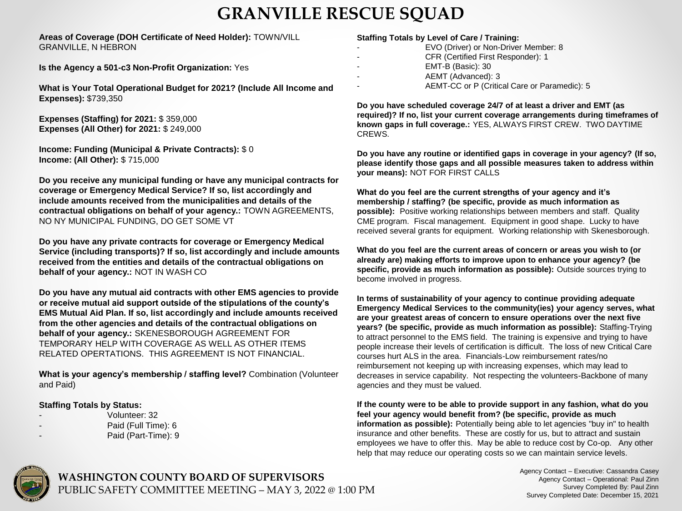## **GRANVILLE RESCUE SQUAD**

#### **Areas of Coverage (DOH Certificate of Need Holder):** TOWN/VILL GRANVILLE, N HEBRON

**Is the Agency a 501-c3 Non-Profit Organization:** Yes

**What is Your Total Operational Budget for 2021? (Include All Income and Expenses):** \$739,350

**Expenses (Staffing) for 2021:** \$ 359,000 **Expenses (All Other) for 2021:** \$ 249,000

**Income: Funding (Municipal & Private Contracts):** \$ 0 **Income: (All Other):** \$ 715,000

**Do you receive any municipal funding or have any municipal contracts for coverage or Emergency Medical Service? If so, list accordingly and include amounts received from the municipalities and details of the contractual obligations on behalf of your agency.:** TOWN AGREEMENTS, NO NY MUNICIPAL FUNDING, DO GET SOME VT

**Do you have any private contracts for coverage or Emergency Medical Service (including transports)? If so, list accordingly and include amounts received from the entities and details of the contractual obligations on behalf of your agency.:** NOT IN WASH CO

**Do you have any mutual aid contracts with other EMS agencies to provide or receive mutual aid support outside of the stipulations of the county's EMS Mutual Aid Plan. If so, list accordingly and include amounts received from the other agencies and details of the contractual obligations on behalf of your agency.:** SKENESBOROUGH AGREEMENT FOR TEMPORARY HELP WITH COVERAGE AS WELL AS OTHER ITEMS RELATED OPERTATIONS. THIS AGREEMENT IS NOT FINANCIAL.

**What is your agency's membership / staffing level?** Combination (Volunteer and Paid)

#### **Staffing Totals by Status:**

- Volunteer: 32
	- Paid (Full Time): 6
- Paid (Part-Time): 9

#### **Staffing Totals by Level of Care / Training:**

- EVO (Driver) or Non-Driver Member: 8
- CFR (Certified First Responder): 1
- EMT-B (Basic): 30
- AEMT (Advanced): 3
	- AEMT-CC or P (Critical Care or Paramedic): 5

**Do you have scheduled coverage 24/7 of at least a driver and EMT (as required)? If no, list your current coverage arrangements during timeframes of known gaps in full coverage.:** YES, ALWAYS FIRST CREW. TWO DAYTIME CREWS.

**Do you have any routine or identified gaps in coverage in your agency? (If so, please identify those gaps and all possible measures taken to address within your means):** NOT FOR FIRST CALLS

**What do you feel are the current strengths of your agency and it's membership / staffing? (be specific, provide as much information as possible):** Positive working relationships between members and staff. Quality CME program. Fiscal management. Equipment in good shape. Lucky to have received several grants for equipment. Working relationship with Skenesborough.

**What do you feel are the current areas of concern or areas you wish to (or already are) making efforts to improve upon to enhance your agency? (be specific, provide as much information as possible):** Outside sources trying to become involved in progress.

**In terms of sustainability of your agency to continue providing adequate Emergency Medical Services to the community(ies) your agency serves, what are your greatest areas of concern to ensure operations over the next five years? (be specific, provide as much information as possible):** Staffing-Trying to attract personnel to the EMS field. The training is expensive and trying to have people increase their levels of certification is difficult. The loss of new Critical Care courses hurt ALS in the area. Financials-Low reimbursement rates/no reimbursement not keeping up with increasing expenses, which may lead to decreases in service capability. Not respecting the volunteers-Backbone of many agencies and they must be valued.

**If the county were to be able to provide support in any fashion, what do you feel your agency would benefit from? (be specific, provide as much information as possible):** Potentially being able to let agencies "buy in" to health insurance and other benefits. These are costly for us, but to attract and sustain employees we have to offer this. May be able to reduce cost by Co-op. Any other help that may reduce our operating costs so we can maintain service levels.



**WASHINGTON COUNTY BOARD OF SUPERVISORS** PUBLIC SAFETY COMMITTEE MEETING – MAY 3, 2022 @ 1:00 PM Agency Contact – Executive: Cassandra Casey Agency Contact – Operational: Paul Zinn Survey Completed By: Paul Zinn Survey Completed Date: December 15, 2021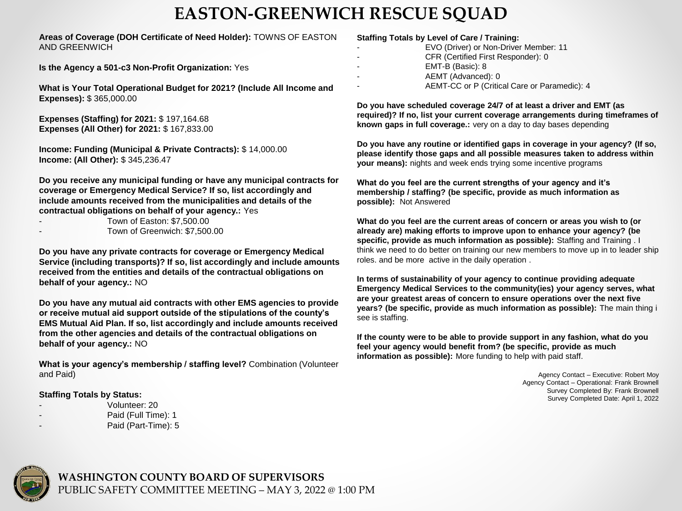## **EASTON-GREENWICH RESCUE SQUAD**

#### **Areas of Coverage (DOH Certificate of Need Holder):** TOWNS OF EASTON AND GREENWICH

**Is the Agency a 501-c3 Non-Profit Organization:** Yes

**What is Your Total Operational Budget for 2021? (Include All Income and Expenses):** \$ 365,000.00

**Expenses (Staffing) for 2021:** \$ 197,164.68 **Expenses (All Other) for 2021:** \$ 167,833.00

**Income: Funding (Municipal & Private Contracts):** \$ 14,000.00 **Income: (All Other):** \$ 345,236.47

**Do you receive any municipal funding or have any municipal contracts for coverage or Emergency Medical Service? If so, list accordingly and include amounts received from the municipalities and details of the contractual obligations on behalf of your agency.:** Yes

|  |  | Town of Easton: \$7,500.00 |  |
|--|--|----------------------------|--|
|  |  |                            |  |

Town of Greenwich: \$7,500.00

**Do you have any private contracts for coverage or Emergency Medical Service (including transports)? If so, list accordingly and include amounts received from the entities and details of the contractual obligations on behalf of your agency.:** NO

**Do you have any mutual aid contracts with other EMS agencies to provide or receive mutual aid support outside of the stipulations of the county's EMS Mutual Aid Plan. If so, list accordingly and include amounts received from the other agencies and details of the contractual obligations on behalf of your agency.:** NO

**What is your agency's membership / staffing level?** Combination (Volunteer and Paid)

#### **Staffing Totals by Status:**

- Volunteer: 20
- Paid (Full Time): 1
- Paid (Part-Time): 5

#### **Staffing Totals by Level of Care / Training:**

- EVO (Driver) or Non-Driver Member: 11
- CFR (Certified First Responder): 0
- EMT-B (Basic): 8
- AEMT (Advanced): 0
	- AEMT-CC or P (Critical Care or Paramedic): 4

**Do you have scheduled coverage 24/7 of at least a driver and EMT (as required)? If no, list your current coverage arrangements during timeframes of known gaps in full coverage.:** very on a day to day bases depending

**Do you have any routine or identified gaps in coverage in your agency? (If so, please identify those gaps and all possible measures taken to address within your means):** nights and week ends trying some incentive programs

**What do you feel are the current strengths of your agency and it's membership / staffing? (be specific, provide as much information as possible):** Not Answered

**What do you feel are the current areas of concern or areas you wish to (or already are) making efforts to improve upon to enhance your agency? (be specific, provide as much information as possible):** Staffing and Training . I think we need to do better on training our new members to move up in to leader ship roles. and be more active in the daily operation .

**In terms of sustainability of your agency to continue providing adequate Emergency Medical Services to the community(ies) your agency serves, what are your greatest areas of concern to ensure operations over the next five years? (be specific, provide as much information as possible):** The main thing i see is staffing.

**If the county were to be able to provide support in any fashion, what do you feel your agency would benefit from? (be specific, provide as much information as possible):** More funding to help with paid staff.

> Agency Contact – Executive: Robert Moy Agency Contact – Operational: Frank Brownell Survey Completed By: Frank Brownell Survey Completed Date: April 1, 2022

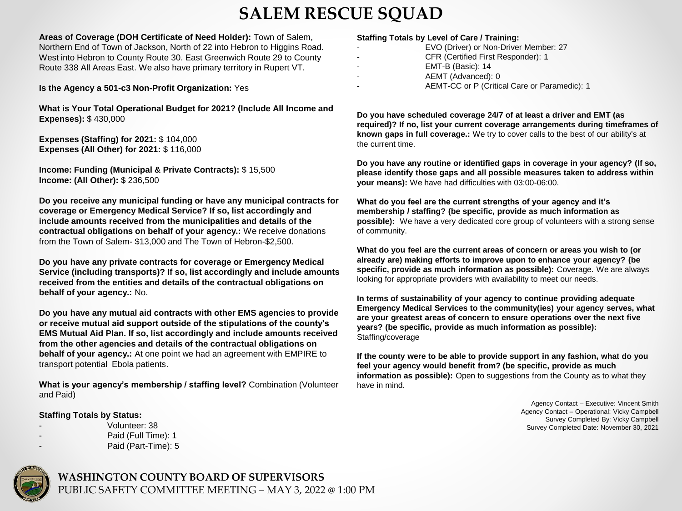## **SALEM RESCUE SQUAD**

**Areas of Coverage (DOH Certificate of Need Holder):** Town of Salem, Northern End of Town of Jackson, North of 22 into Hebron to Higgins Road. West into Hebron to County Route 30. East Greenwich Route 29 to County Route 338 All Areas East. We also have primary territory in Rupert VT.

**Is the Agency a 501-c3 Non-Profit Organization:** Yes

**What is Your Total Operational Budget for 2021? (Include All Income and Expenses):** \$ 430,000

**Expenses (Staffing) for 2021:** \$ 104,000 **Expenses (All Other) for 2021:** \$ 116,000

**Income: Funding (Municipal & Private Contracts):** \$ 15,500 **Income: (All Other):** \$ 236,500

**Do you receive any municipal funding or have any municipal contracts for coverage or Emergency Medical Service? If so, list accordingly and include amounts received from the municipalities and details of the contractual obligations on behalf of your agency.:** We receive donations from the Town of Salem- \$13,000 and The Town of Hebron-\$2,500.

**Do you have any private contracts for coverage or Emergency Medical Service (including transports)? If so, list accordingly and include amounts received from the entities and details of the contractual obligations on behalf of your agency.:** No.

**Do you have any mutual aid contracts with other EMS agencies to provide or receive mutual aid support outside of the stipulations of the county's EMS Mutual Aid Plan. If so, list accordingly and include amounts received from the other agencies and details of the contractual obligations on behalf of your agency.:** At one point we had an agreement with EMPIRE to transport potential Ebola patients.

**What is your agency's membership / staffing level?** Combination (Volunteer and Paid)

#### **Staffing Totals by Status:**

- Volunteer: 38
- Paid (Full Time): 1
	- Paid (Part-Time): 5

#### **Staffing Totals by Level of Care / Training:**

- EVO (Driver) or Non-Driver Member: 27
- CFR (Certified First Responder): 1
- EMT-B (Basic): 14
- AEMT (Advanced): 0
- AEMT-CC or P (Critical Care or Paramedic): 1

**Do you have scheduled coverage 24/7 of at least a driver and EMT (as required)? If no, list your current coverage arrangements during timeframes of known gaps in full coverage.:** We try to cover calls to the best of our ability's at the current time.

**Do you have any routine or identified gaps in coverage in your agency? (If so, please identify those gaps and all possible measures taken to address within your means):** We have had difficulties with 03:00-06:00.

**What do you feel are the current strengths of your agency and it's membership / staffing? (be specific, provide as much information as possible):** We have a very dedicated core group of volunteers with a strong sense of community.

**What do you feel are the current areas of concern or areas you wish to (or already are) making efforts to improve upon to enhance your agency? (be specific, provide as much information as possible):** Coverage. We are always looking for appropriate providers with availability to meet our needs.

**In terms of sustainability of your agency to continue providing adequate Emergency Medical Services to the community(ies) your agency serves, what are your greatest areas of concern to ensure operations over the next five years? (be specific, provide as much information as possible):**  Staffing/coverage

**If the county were to be able to provide support in any fashion, what do you feel your agency would benefit from? (be specific, provide as much information as possible):** Open to suggestions from the County as to what they have in mind.

> Agency Contact – Executive: Vincent Smith Agency Contact – Operational: Vicky Campbell Survey Completed By: Vicky Campbell Survey Completed Date: November 30, 2021

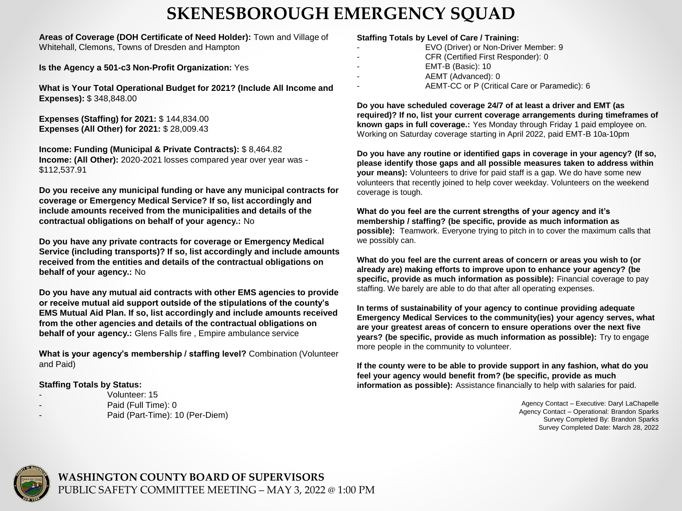## **SKENESBOROUGH EMERGENCY SQUAD**

**Areas of Coverage (DOH Certificate of Need Holder):** Town and Village of Whitehall, Clemons, Towns of Dresden and Hampton

**Is the Agency a 501-c3 Non-Profit Organization:** Yes

**What is Your Total Operational Budget for 2021? (Include All Income and Expenses):** \$ 348,848.00

**Expenses (Staffing) for 2021:** \$ 144,834.00 **Expenses (All Other) for 2021:** \$ 28,009.43

**Income: Funding (Municipal & Private Contracts):** \$ 8,464.82 **Income: (All Other):** 2020-2021 losses compared year over year was - \$112,537.91

**Do you receive any municipal funding or have any municipal contracts for coverage or Emergency Medical Service? If so, list accordingly and include amounts received from the municipalities and details of the contractual obligations on behalf of your agency.:** No

**Do you have any private contracts for coverage or Emergency Medical Service (including transports)? If so, list accordingly and include amounts received from the entities and details of the contractual obligations on behalf of your agency.:** No

**Do you have any mutual aid contracts with other EMS agencies to provide or receive mutual aid support outside of the stipulations of the county's EMS Mutual Aid Plan. If so, list accordingly and include amounts received from the other agencies and details of the contractual obligations on behalf of your agency.:** Glens Falls fire , Empire ambulance service

**What is your agency's membership / staffing level?** Combination (Volunteer and Paid)

#### **Staffing Totals by Status:**

- Volunteer: 15
	- Paid (Full Time): 0
- Paid (Part-Time): 10 (Per-Diem)

#### **Staffing Totals by Level of Care / Training:**

- EVO (Driver) or Non-Driver Member: 9
- CFR (Certified First Responder): 0
- EMT-B (Basic): 10
- AEMT (Advanced): 0
	- AEMT-CC or P (Critical Care or Paramedic): 6

**Do you have scheduled coverage 24/7 of at least a driver and EMT (as required)? If no, list your current coverage arrangements during timeframes of known gaps in full coverage.:** Yes Monday through Friday 1 paid employee on. Working on Saturday coverage starting in April 2022, paid EMT-B 10a-10pm

**Do you have any routine or identified gaps in coverage in your agency? (If so, please identify those gaps and all possible measures taken to address within your means):** Volunteers to drive for paid staff is a gap. We do have some new volunteers that recently joined to help cover weekday. Volunteers on the weekend coverage is tough.

**What do you feel are the current strengths of your agency and it's membership / staffing? (be specific, provide as much information as possible):** Teamwork. Everyone trying to pitch in to cover the maximum calls that we possibly can.

**What do you feel are the current areas of concern or areas you wish to (or already are) making efforts to improve upon to enhance your agency? (be specific, provide as much information as possible):** Financial coverage to pay staffing. We barely are able to do that after all operating expenses.

**In terms of sustainability of your agency to continue providing adequate Emergency Medical Services to the community(ies) your agency serves, what are your greatest areas of concern to ensure operations over the next five years? (be specific, provide as much information as possible):** Try to engage more people in the community to volunteer.

**If the county were to be able to provide support in any fashion, what do you feel your agency would benefit from? (be specific, provide as much information as possible):** Assistance financially to help with salaries for paid.

> Agency Contact – Executive: Daryl LaChapelle Agency Contact – Operational: Brandon Sparks Survey Completed By: Brandon Sparks Survey Completed Date: March 28, 2022